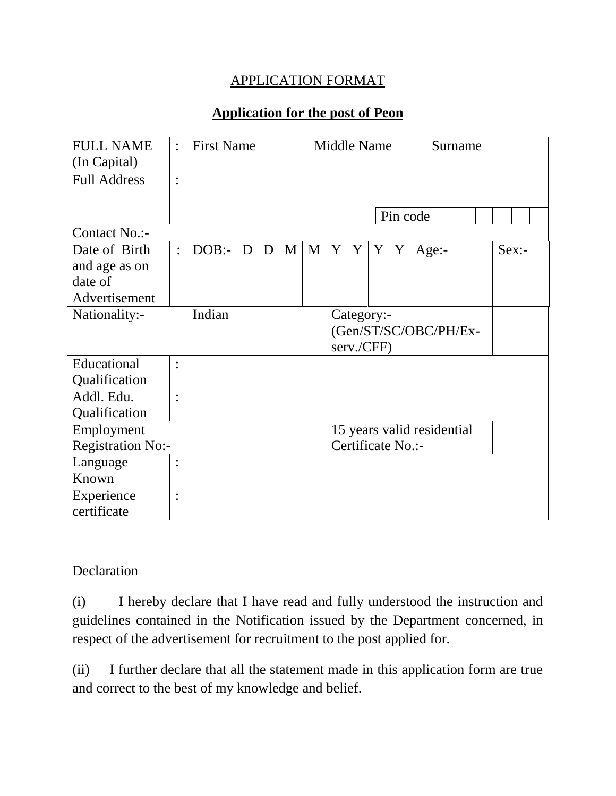## APPLICATION FORMAT

## **Application for the post of Peon**

| <b>FULL NAME</b>         | $\ddot{\cdot}$ | <b>First Name</b> |   |   |   |   | <b>Middle Name</b>         |   |            |   |          | Surname  |  |
|--------------------------|----------------|-------------------|---|---|---|---|----------------------------|---|------------|---|----------|----------|--|
| (In Capital)             |                |                   |   |   |   |   |                            |   |            |   |          |          |  |
| <b>Full Address</b>      | $\bullet$      |                   |   |   |   |   |                            |   |            |   |          |          |  |
|                          |                |                   |   |   |   |   |                            |   |            |   |          |          |  |
|                          |                |                   |   |   |   |   |                            |   |            |   | Pin code |          |  |
| Contact No.:-            |                |                   |   |   |   |   |                            |   |            |   |          |          |  |
| Date of Birth            | $\ddot{\cdot}$ | $DOB$ :-          | D | D | M | M | Y                          | Y | Y          | Y | $Age: -$ | $Sex:$ - |  |
| and age as on            |                |                   |   |   |   |   |                            |   |            |   |          |          |  |
| date of                  |                |                   |   |   |   |   |                            |   |            |   |          |          |  |
| Advertisement            |                |                   |   |   |   |   |                            |   |            |   |          |          |  |
| Nationality:-            |                | Indian            |   |   |   |   | Category:-                 |   |            |   |          |          |  |
|                          |                |                   |   |   |   |   | (Gen/ST/SC/OBC/PH/Ex-      |   |            |   |          |          |  |
|                          |                |                   |   |   |   |   |                            |   | serv./CFF) |   |          |          |  |
| Educational              | $\ddot{\cdot}$ |                   |   |   |   |   |                            |   |            |   |          |          |  |
| Qualification            |                |                   |   |   |   |   |                            |   |            |   |          |          |  |
| Addl. Edu.               | $\ddot{\cdot}$ |                   |   |   |   |   |                            |   |            |   |          |          |  |
| Qualification            |                |                   |   |   |   |   |                            |   |            |   |          |          |  |
| Employment               |                |                   |   |   |   |   | 15 years valid residential |   |            |   |          |          |  |
| <b>Registration No:-</b> |                |                   |   |   |   |   | Certificate No.:-          |   |            |   |          |          |  |
| Language                 | $\bullet$      |                   |   |   |   |   |                            |   |            |   |          |          |  |
| Known                    |                |                   |   |   |   |   |                            |   |            |   |          |          |  |
| Experience               | $\bullet$      |                   |   |   |   |   |                            |   |            |   |          |          |  |
| certificate              |                |                   |   |   |   |   |                            |   |            |   |          |          |  |

## Declaration

(i) I hereby declare that I have read and fully understood the instruction and guidelines contained in the Notification issued by the Department concerned, in respect of the advertisement for recruitment to the post applied for.

(ii) I further declare that all the statement made in this application form are true and correct to the best of my knowledge and belief.